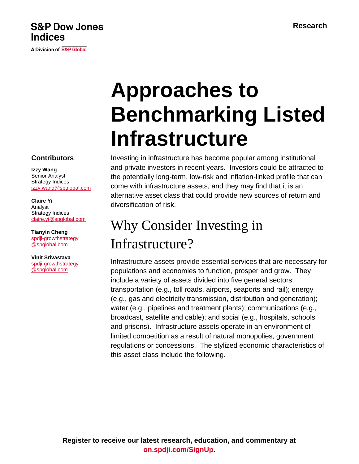### **S&P Dow Jones Indices**

A Division of S&P Global

# **Approaches to Benchmarking Listed Infrastructure**

Investing in infrastructure has become popular among institutional and private investors in recent years. Investors could be attracted to the potentially long-term, low-risk and inflation-linked profile that can come with infrastructure assets, and they may find that it is an alternative asset class that could provide new sources of return and diversification of risk.

## Why Consider Investing in Infrastructure?

Infrastructure assets provide essential services that are necessary for populations and economies to function, prosper and grow. They include a variety of assets divided into five general sectors: transportation (e.g., toll roads, airports, seaports and rail); energy (e.g., gas and electricity transmission, distribution and generation); water (e.g., pipelines and treatment plants); communications (e.g., broadcast, satellite and cable); and social (e.g., hospitals, schools and prisons). Infrastructure assets operate in an environment of limited competition as a result of natural monopolies, government regulations or concessions. The stylized economic characteristics of this asset class include the following.

**Contributors**

**Izzy Wang** Senior Analyst Strategy Indices [izzy.wang@spglobal.com](mailto:izzy.wang@spglobal.com)

**Claire Yi** Analyst Strategy Indices [claire.yi@spglobal.com](mailto:izzy.wang@spglobal.com)

**Tianyin Cheng** [spdji-growthstrategy](mailto:spdji-growthstrategy@spglobal.com) [@spglobal.com](mailto:spdji-growthstrategy@spglobal.com)

**Vinit Srivastava** [spdji-growthstrategy](mailto:spdji-growthstrategy@spglobal.com) [@spglobal.com](mailto:spdji-growthstrategy@spglobal.com)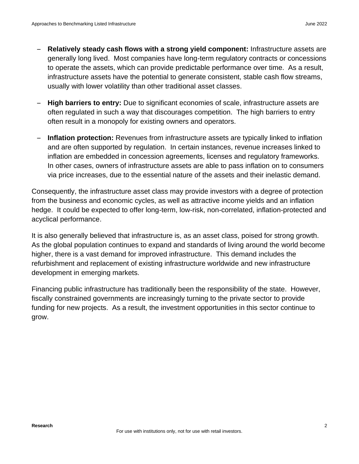- **Relatively steady cash flows with a strong yield component:** Infrastructure assets are generally long lived. Most companies have long-term regulatory contracts or concessions to operate the assets, which can provide predictable performance over time. As a result, infrastructure assets have the potential to generate consistent, stable cash flow streams, usually with lower volatility than other traditional asset classes.
- **High barriers to entry:** Due to significant economies of scale, infrastructure assets are often regulated in such a way that discourages competition. The high barriers to entry often result in a monopoly for existing owners and operators.
- **Inflation protection:** Revenues from infrastructure assets are typically linked to inflation and are often supported by regulation. In certain instances, revenue increases linked to inflation are embedded in concession agreements, licenses and regulatory frameworks. In other cases, owners of infrastructure assets are able to pass inflation on to consumers via price increases, due to the essential nature of the assets and their inelastic demand.

Consequently, the infrastructure asset class may provide investors with a degree of protection from the business and economic cycles, as well as attractive income yields and an inflation hedge. It could be expected to offer long-term, low-risk, non-correlated, inflation-protected and acyclical performance.

It is also generally believed that infrastructure is, as an asset class, poised for strong growth. As the global population continues to expand and standards of living around the world become higher, there is a vast demand for improved infrastructure. This demand includes the refurbishment and replacement of existing infrastructure worldwide and new infrastructure development in emerging markets.

Financing public infrastructure has traditionally been the responsibility of the state. However, fiscally constrained governments are increasingly turning to the private sector to provide funding for new projects. As a result, the investment opportunities in this sector continue to grow.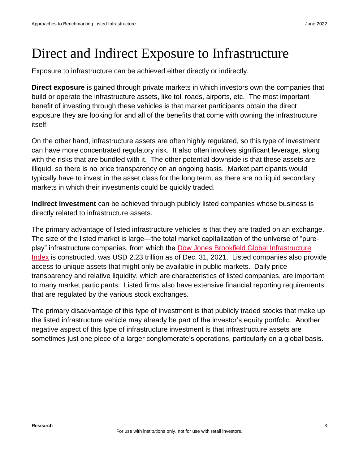## Direct and Indirect Exposure to Infrastructure

Exposure to infrastructure can be achieved either directly or indirectly.

**Direct exposure** is gained through private markets in which investors own the companies that build or operate the infrastructure assets, like toll roads, airports, etc. The most important benefit of investing through these vehicles is that market participants obtain the direct exposure they are looking for and all of the benefits that come with owning the infrastructure itself.

On the other hand, infrastructure assets are often highly regulated, so this type of investment can have more concentrated regulatory risk. It also often involves significant leverage, along with the risks that are bundled with it. The other potential downside is that these assets are illiquid, so there is no price transparency on an ongoing basis. Market participants would typically have to invest in the asset class for the long term, as there are no liquid secondary markets in which their investments could be quickly traded.

**Indirect investment** can be achieved through publicly listed companies whose business is directly related to infrastructure assets.

The primary advantage of listed infrastructure vehicles is that they are traded on an exchange. The size of the listed market is large—the total market capitalization of the universe of "pureplay" infrastructure companies, from which the [Dow Jones Brookfield Global Infrastructure](https://www.spglobal.com/spdji/en/indices/equity/dow-jones-brookfield-global-infrastructure-index/?utm_source=pdf_research)  [Index](https://www.spglobal.com/spdji/en/indices/equity/dow-jones-brookfield-global-infrastructure-index/?utm_source=pdf_research) is constructed, was USD 2.23 trillion as of Dec. 31, 2021. Listed companies also provide access to unique assets that might only be available in public markets. Daily price transparency and relative liquidity, which are characteristics of listed companies, are important to many market participants. Listed firms also have extensive financial reporting requirements that are regulated by the various stock exchanges.

The primary disadvantage of this type of investment is that publicly traded stocks that make up the listed infrastructure vehicle may already be part of the investor's equity portfolio. Another negative aspect of this type of infrastructure investment is that infrastructure assets are sometimes just one piece of a larger conglomerate's operations, particularly on a global basis.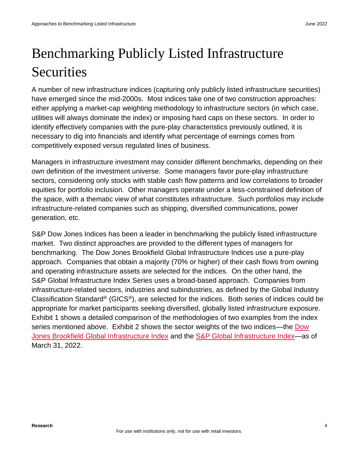## Benchmarking Publicly Listed Infrastructure **Securities**

A number of new infrastructure indices (capturing only publicly listed infrastructure securities) have emerged since the mid-2000s. Most indices take one of two construction approaches: either applying a market-cap weighting methodology to infrastructure sectors (in which case, utilities will always dominate the index) or imposing hard caps on these sectors. In order to identify effectively companies with the pure-play characteristics previously outlined, it is necessary to dig into financials and identify what percentage of earnings comes from competitively exposed versus regulated lines of business.

Managers in infrastructure investment may consider different benchmarks, depending on their own definition of the investment universe. Some managers favor pure-play infrastructure sectors, considering only stocks with stable cash flow patterns and low correlations to broader equities for portfolio inclusion. Other managers operate under a less-constrained definition of the space, with a thematic view of what constitutes infrastructure. Such portfolios may include infrastructure-related companies such as shipping, diversified communications, power generation, etc.

S&P Dow Jones Indices has been a leader in benchmarking the publicly listed infrastructure market. Two distinct approaches are provided to the different types of managers for benchmarking. The Dow Jones Brookfield Global Infrastructure Indices use a pure-play approach. Companies that obtain a majority (70% or higher) of their cash flows from owning and operating infrastructure assets are selected for the indices. On the other hand, the S&P Global Infrastructure Index Series uses a broad-based approach. Companies from infrastructure-related sectors, industries and subindustries, as defined by the Global Industry Classification Standard® (GICS®), are selected for the indices. Both series of indices could be appropriate for market participants seeking diversified, globally listed infrastructure exposure. Exhibit 1 shows a detailed comparison of the methodologies of two examples from the index series mentioned above. Exhibit 2 shows the sector weights of the two indices—the [Dow](https://www.spglobal.com/spdji/en/indices/equity/dow-jones-brookfield-global-infrastructure-index?utm_source=pdf_research)  [Jones Brookfield Global Infrastructure Index](https://www.spglobal.com/spdji/en/indices/equity/dow-jones-brookfield-global-infrastructure-index?utm_source=pdf_research) and the [S&P Global Infrastructure Index—](https://www.spglobal.com/spdji/en/indices/equity/sp-global-infrastructure-index/?utm_source=pdf_research)as of March 31, 2022.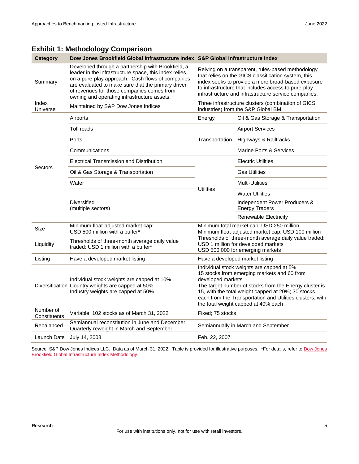| Category                  | Dow Jones Brookfield Global Infrastructure Index S&P Global Infrastructure Index                                                                                                                                                                                                                                   |                                                                                                                                                                                                                                                                               |                                                                                                                                                                                                                                                                                                              |  |
|---------------------------|--------------------------------------------------------------------------------------------------------------------------------------------------------------------------------------------------------------------------------------------------------------------------------------------------------------------|-------------------------------------------------------------------------------------------------------------------------------------------------------------------------------------------------------------------------------------------------------------------------------|--------------------------------------------------------------------------------------------------------------------------------------------------------------------------------------------------------------------------------------------------------------------------------------------------------------|--|
| Summary                   | Developed through a partnership with Brookfield, a<br>leader in the infrastructure space, this index relies<br>on a pure-play approach. Cash flows of companies<br>are evaluated to make sure that the primary driver<br>of revenues for those companies comes from<br>owning and operating infrastructure assets. | Relying on a transparent, rules-based methodology<br>that relies on the GICS classification system, this<br>index seeks to provide a more broad-based exposure<br>to infrastructure that includes access to pure-play<br>infrastructure and infrastructure service companies. |                                                                                                                                                                                                                                                                                                              |  |
| Index<br>Universe         | Maintained by S&P Dow Jones Indices                                                                                                                                                                                                                                                                                | Three infrastructure clusters (combination of GICS<br>industries) from the S&P Global BMI                                                                                                                                                                                     |                                                                                                                                                                                                                                                                                                              |  |
|                           | Airports                                                                                                                                                                                                                                                                                                           | Energy                                                                                                                                                                                                                                                                        | Oil & Gas Storage & Transportation                                                                                                                                                                                                                                                                           |  |
|                           | Toll roads                                                                                                                                                                                                                                                                                                         |                                                                                                                                                                                                                                                                               | <b>Airport Services</b>                                                                                                                                                                                                                                                                                      |  |
|                           | Ports                                                                                                                                                                                                                                                                                                              | Transportation                                                                                                                                                                                                                                                                | Highways & Railtracks                                                                                                                                                                                                                                                                                        |  |
|                           | Communications                                                                                                                                                                                                                                                                                                     |                                                                                                                                                                                                                                                                               | Marine Ports & Services                                                                                                                                                                                                                                                                                      |  |
|                           | <b>Electrical Transmission and Distribution</b>                                                                                                                                                                                                                                                                    |                                                                                                                                                                                                                                                                               | <b>Electric Utilities</b>                                                                                                                                                                                                                                                                                    |  |
| Sectors                   | Oil & Gas Storage & Transportation                                                                                                                                                                                                                                                                                 |                                                                                                                                                                                                                                                                               | <b>Gas Utilities</b>                                                                                                                                                                                                                                                                                         |  |
|                           | Water                                                                                                                                                                                                                                                                                                              |                                                                                                                                                                                                                                                                               | Multi-Utilities                                                                                                                                                                                                                                                                                              |  |
|                           |                                                                                                                                                                                                                                                                                                                    | <b>Utilities</b>                                                                                                                                                                                                                                                              | <b>Water Utilities</b>                                                                                                                                                                                                                                                                                       |  |
|                           | <b>Diversified</b><br>(multiple sectors)                                                                                                                                                                                                                                                                           |                                                                                                                                                                                                                                                                               | Independent Power Producers &<br><b>Energy Traders</b>                                                                                                                                                                                                                                                       |  |
|                           |                                                                                                                                                                                                                                                                                                                    |                                                                                                                                                                                                                                                                               | Renewable Electricity                                                                                                                                                                                                                                                                                        |  |
| Size                      | Minimum float-adjusted market cap:<br>USD 500 million with a buffer*                                                                                                                                                                                                                                               | Minimum total market cap: USD 250 million<br>Minimum float-adjusted market cap: USD 100 million                                                                                                                                                                               |                                                                                                                                                                                                                                                                                                              |  |
| Liquidity                 | Thresholds of three-month average daily value<br>traded: USD 1 million with a buffer*                                                                                                                                                                                                                              |                                                                                                                                                                                                                                                                               | Thresholds of three-month average daily value traded:<br>USD 1 million for developed markets<br>USD 500,000 for emerging markets                                                                                                                                                                             |  |
| Listing                   | Have a developed market listing                                                                                                                                                                                                                                                                                    | Have a developed market listing                                                                                                                                                                                                                                               |                                                                                                                                                                                                                                                                                                              |  |
|                           | Individual stock weights are capped at 10%<br>Diversification Country weights are capped at 50%<br>Industry weights are capped at 50%                                                                                                                                                                              | developed markets                                                                                                                                                                                                                                                             | Individual stock weights are capped at 5%<br>15 stocks from emerging markets and 60 from<br>The target number of stocks from the Energy cluster is<br>15, with the total weight capped at 20%; 30 stocks<br>each from the Transportation and Utilities clusters, with<br>the total weight capped at 40% each |  |
| Number of<br>Constituents | Variable; 102 stocks as of March 31, 2022                                                                                                                                                                                                                                                                          | Fixed: 75 stocks                                                                                                                                                                                                                                                              |                                                                                                                                                                                                                                                                                                              |  |
| Rebalanced                | Semiannual reconstitution in June and December;<br>Quarterly reweight in March and September                                                                                                                                                                                                                       |                                                                                                                                                                                                                                                                               | Semiannually in March and September                                                                                                                                                                                                                                                                          |  |
| Launch Date               | July 14, 2008                                                                                                                                                                                                                                                                                                      | Feb. 22, 2007                                                                                                                                                                                                                                                                 |                                                                                                                                                                                                                                                                                                              |  |

#### **Exhibit 1: Methodology Comparison**

Source: S&P [Dow Jones](https://spdji.com/documents/methodologies/methodology-dj-brookfield-infrastructure.pdf?utm_source=pdf_research) Indices LLC. Data as of March 31, 2022. Table is provided for illustrative purposes. \*For details, refer to Dow Jones [Brookfield Global Infrastructure Index Methodology.](https://spdji.com/documents/methodologies/methodology-dj-brookfield-infrastructure.pdf?utm_source=pdf_research)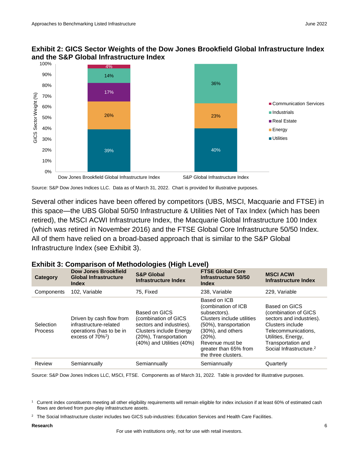### **Exhibit 2: GICS Sector Weights of the Dow Jones Brookfield Global Infrastructure Index and the S&P Global Infrastructure Index**



Source: S&P Dow Jones Indices LLC. Data as of March 31, 2022. Chart is provided for illustrative purposes.

Several other indices have been offered by competitors (UBS, MSCI, Macquarie and FTSE) in this space—the UBS Global 50/50 Infrastructure & Utilities Net of Tax Index (which has been retired), the MSCI ACWI Infrastructure Index, the Macquarie Global Infrastructure 100 Index (which was retired in November 2016) and the FTSE Global Core Infrastructure 50/50 Index. All of them have relied on a broad-based approach that is similar to the S&P Global Infrastructure Index (see Exhibit 3).

### **Exhibit 3: Comparison of Methodologies (High Level)**

| Category             | Dow Jones Brookfield<br><b>Global Infrastructure</b><br><b>Index</b>                                              | <b>S&amp;P Global</b><br>Infrastructure Index                                                                                                             | <b>FTSE Global Core</b><br>Infrastructure 50/50<br><b>Index</b>                                                                                                                                                      | <b>MSCI ACWI</b><br>Infrastructure Index                                                                                                                                                        |
|----------------------|-------------------------------------------------------------------------------------------------------------------|-----------------------------------------------------------------------------------------------------------------------------------------------------------|----------------------------------------------------------------------------------------------------------------------------------------------------------------------------------------------------------------------|-------------------------------------------------------------------------------------------------------------------------------------------------------------------------------------------------|
| Components           | 102, Variable                                                                                                     | 75, Fixed                                                                                                                                                 | 238, Variable                                                                                                                                                                                                        | 229, Variable                                                                                                                                                                                   |
| Selection<br>Process | Driven by cash flow from<br>infrastructure-related<br>operations (has to be in<br>excess of $70\%$ <sup>1</sup> ) | Based on GICS<br>(combination of GICS<br>sectors and industries).<br><b>Clusters include Energy</b><br>(20%), Transportation<br>(40%) and Utilities (40%) | Based on ICB<br>(combination of ICB<br>subsectors).<br>Clusters include utilities<br>(50%), transportation<br>$(30\%)$ , and others<br>$(20\%)$ .<br>Revenue must be<br>greater than 65% from<br>the three clusters. | Based on GICS<br>(combination of GICS<br>sectors and industries).<br>Clusters include<br>Telecommunications.<br>Utilities, Energy,<br>Transportation and<br>Social Infrastructure. <sup>2</sup> |
| Review               | Semiannually                                                                                                      | Semiannually                                                                                                                                              | Semiannually                                                                                                                                                                                                         | Quarterly                                                                                                                                                                                       |

Source: S&P Dow Jones Indices LLC, MSCI, FTSE. Components as of March 31, 2022. Table is provided for illustrative purposes.

#### **Research** 6

For use with institutions only, not for use with retail investors.

<sup>1</sup> Current index constituents meeting all other eligibility requirements will remain eligible for index inclusion if at least 60% of estimated cash flows are derived from pure-play infrastructure assets.

<sup>&</sup>lt;sup>2</sup> The Social Infrastructure cluster includes two GICS sub-industries: Education Services and Health Care Facilities.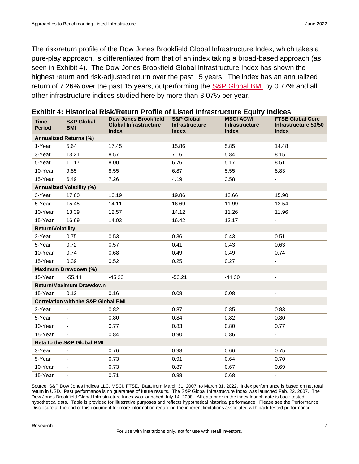The risk/return profile of the Dow Jones Brookfield Global Infrastructure Index, which takes a pure-play approach, is differentiated from that of an index taking a broad-based approach (as seen in Exhibit 4). The Dow Jones Brookfield Global Infrastructure Index has shown the highest return and risk-adjusted return over the past 15 years. The index has an annualized return of 7.26% over the past 15 years, outperforming the **S&P Global BMI** by 0.77% and all other infrastructure indices studied here by more than 3.07% per year.

| <b>Time</b><br><b>Period</b>  | <b>S&amp;P Global</b><br><b>BMI</b>            | <b>Dow Jones Brookfield</b><br><b>Global Infrastructure</b><br><b>Index</b> | <b>S&amp;P Global</b><br><b>Infrastructure</b><br><b>Index</b> | <b>MSCI ACWI</b><br>Infrastructure<br><b>Index</b> | <b>FTSE Global Core</b><br>Infrastructure 50/50<br><b>Index</b> |  |  |  |  |
|-------------------------------|------------------------------------------------|-----------------------------------------------------------------------------|----------------------------------------------------------------|----------------------------------------------------|-----------------------------------------------------------------|--|--|--|--|
| <b>Annualized Returns (%)</b> |                                                |                                                                             |                                                                |                                                    |                                                                 |  |  |  |  |
| 1-Year                        | 5.64                                           | 17.45                                                                       | 15.86                                                          | 5.85                                               | 14.48                                                           |  |  |  |  |
| 3-Year                        | 13.21                                          | 8.57                                                                        | 7.16                                                           | 5.84                                               | 8.15                                                            |  |  |  |  |
| 5-Year                        | 11.17                                          | 8.00                                                                        | 6.76                                                           | 5.17                                               | 8.51                                                            |  |  |  |  |
| 10-Year                       | 9.85                                           | 8.55                                                                        | 6.87                                                           | 5.55                                               | 8.83                                                            |  |  |  |  |
| 15-Year                       | 6.49                                           | 7.26                                                                        | 4.19                                                           | 3.58                                               |                                                                 |  |  |  |  |
|                               | <b>Annualized Volatility (%)</b>               |                                                                             |                                                                |                                                    |                                                                 |  |  |  |  |
| 3-Year                        | 17.60                                          | 16.19                                                                       | 19.86                                                          | 13.66                                              | 15.90                                                           |  |  |  |  |
| 5-Year                        | 15.45                                          | 14.11                                                                       | 16.69                                                          | 11.99                                              | 13.54                                                           |  |  |  |  |
| 10-Year                       | 13.39                                          | 12.57                                                                       | 14.12                                                          | 11.26                                              | 11.96                                                           |  |  |  |  |
| 15-Year                       | 16.69                                          | 14.03                                                                       | 16.42                                                          | 13.17                                              | $\blacksquare$                                                  |  |  |  |  |
| <b>Return/Volatility</b>      |                                                |                                                                             |                                                                |                                                    |                                                                 |  |  |  |  |
| 3-Year                        | 0.75                                           | 0.53                                                                        | 0.36                                                           | 0.43                                               | 0.51                                                            |  |  |  |  |
| 5-Year                        | 0.72                                           | 0.57                                                                        | 0.41                                                           | 0.43                                               | 0.63                                                            |  |  |  |  |
| 10-Year                       | 0.74                                           | 0.68                                                                        | 0.49                                                           | 0.49                                               | 0.74                                                            |  |  |  |  |
| 15-Year                       | 0.39                                           | 0.52                                                                        | 0.25                                                           | 0.27                                               | $\blacksquare$                                                  |  |  |  |  |
|                               | Maximum Drawdown (%)                           |                                                                             |                                                                |                                                    |                                                                 |  |  |  |  |
| 15-Year                       | $-55.44$                                       | $-45.23$                                                                    | $-53.21$                                                       | $-44.30$                                           | $\overline{\phantom{a}}$                                        |  |  |  |  |
|                               | <b>Return/Maximum Drawdown</b>                 |                                                                             |                                                                |                                                    |                                                                 |  |  |  |  |
| 15-Year                       | 0.12                                           | 0.16                                                                        | 0.08                                                           | 0.08                                               | $\overline{\phantom{a}}$                                        |  |  |  |  |
|                               | <b>Correlation with the S&amp;P Global BMI</b> |                                                                             |                                                                |                                                    |                                                                 |  |  |  |  |
| 3-Year                        |                                                | 0.82                                                                        | 0.87                                                           | 0.85                                               | 0.83                                                            |  |  |  |  |
| 5-Year                        |                                                | 0.80                                                                        | 0.84                                                           | 0.82                                               | 0.80                                                            |  |  |  |  |
| 10-Year                       | $\blacksquare$                                 | 0.77                                                                        | 0.83                                                           | 0.80                                               | 0.77                                                            |  |  |  |  |
| 15-Year                       | $\overline{\phantom{a}}$                       | 0.84                                                                        | 0.90                                                           | 0.86                                               | $\blacksquare$                                                  |  |  |  |  |
|                               | Beta to the S&P Global BMI                     |                                                                             |                                                                |                                                    |                                                                 |  |  |  |  |
| 3-Year                        | $\blacksquare$                                 | 0.76                                                                        | 0.98                                                           | 0.66                                               | 0.75                                                            |  |  |  |  |
| 5-Year                        |                                                | 0.73                                                                        | 0.91                                                           | 0.64                                               | 0.70                                                            |  |  |  |  |
| 10-Year                       |                                                | 0.73                                                                        | 0.87                                                           | 0.67                                               | 0.69                                                            |  |  |  |  |
| 15-Year                       | $\overline{\phantom{a}}$                       | 0.71                                                                        | 0.88                                                           | 0.68                                               | $\overline{\phantom{a}}$                                        |  |  |  |  |

| Exhibit 4: Historical Risk/Return Profile of Listed Infrastructure Equity Indices |  |  |  |
|-----------------------------------------------------------------------------------|--|--|--|
|                                                                                   |  |  |  |

Source: S&P Dow Jones Indices LLC, MSCI, FTSE. Data from March 31, 2007, to March 31, 2022. Index performance is based on net total return in USD. Past performance is no guarantee of future results. The S&P Global Infrastructure Index was launched Feb. 22, 2007. The Dow Jones Brookfield Global Infrastructure Index was launched July 14, 2008. All data prior to the index launch date is back-tested hypothetical data. Table is provided for illustrative purposes and reflects hypothetical historical performance. Please see the Performance Disclosure at the end of this document for more information regarding the inherent limitations associated with back-tested performance.

#### **Research** 7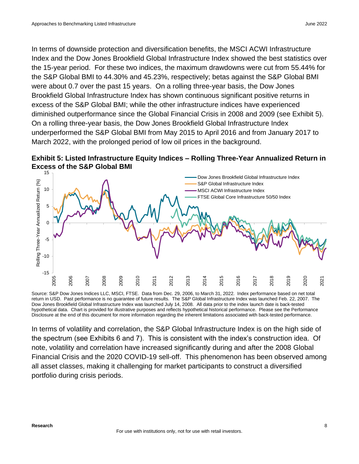In terms of downside protection and diversification benefits, the MSCI ACWI Infrastructure Index and the Dow Jones Brookfield Global Infrastructure Index showed the best statistics over the 15-year period. For these two indices, the maximum drawdowns were cut from 55.44% for the S&P Global BMI to 44.30% and 45.23%, respectively; betas against the S&P Global BMI were about 0.7 over the past 15 years. On a rolling three-year basis, the Dow Jones Brookfield Global Infrastructure Index has shown continuous significant positive returns in excess of the S&P Global BMI; while the other infrastructure indices have experienced diminished outperformance since the Global Financial Crisis in 2008 and 2009 (see Exhibit 5). On a rolling three-year basis, the Dow Jones Brookfield Global Infrastructure Index underperformed the S&P Global BMI from May 2015 to April 2016 and from January 2017 to March 2022, with the prolonged period of low oil prices in the background.





Source: S&P Dow Jones Indices LLC, MSCI, FTSE. Data from Dec. 29, 2006, to March 31, 2022. Index performance based on net total return in USD. Past performance is no guarantee of future results. The S&P Global Infrastructure Index was launched Feb. 22, 2007. The Dow Jones Brookfield Global Infrastructure Index was launched July 14, 2008. All data prior to the index launch date is back-tested hypothetical data. Chart is provided for illustrative purposes and reflects hypothetical historical performance. Please see the Performance Disclosure at the end of this document for more information regarding the inherent limitations associated with back-tested performance.

In terms of volatility and correlation, the S&P Global Infrastructure Index is on the high side of the spectrum (see Exhibits 6 and 7). This is consistent with the index's construction idea. Of note, volatility and correlation have increased significantly during and after the 2008 Global Financial Crisis and the 2020 COVID-19 sell-off. This phenomenon has been observed among all asset classes, making it challenging for market participants to construct a diversified portfolio during crisis periods.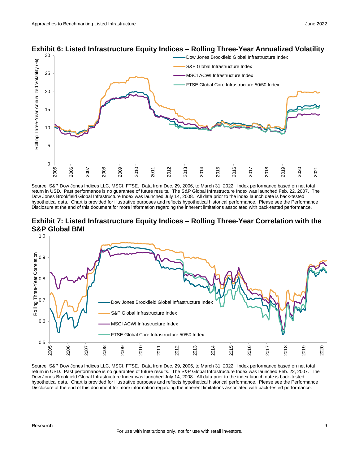

#### **Exhibit 6: Listed Infrastructure Equity Indices – Rolling Three-Year Annualized Volatility**

Source: S&P Dow Jones Indices LLC, MSCI, FTSE. Data from Dec. 29, 2006, to March 31, 2022. Index performance based on net total return in USD. Past performance is no guarantee of future results. The S&P Global Infrastructure Index was launched Feb. 22, 2007. The Dow Jones Brookfield Global Infrastructure Index was launched July 14, 2008. All data prior to the index launch date is back-tested hypothetical data. Chart is provided for illustrative purposes and reflects hypothetical historical performance. Please see the Performance Disclosure at the end of this document for more information regarding the inherent limitations associated with back-tested performance.





Source: S&P Dow Jones Indices LLC, MSCI, FTSE. Data from Dec. 29, 2006, to March 31, 2022. Index performance based on net total return in USD. Past performance is no guarantee of future results. The S&P Global Infrastructure Index was launched Feb. 22, 2007. The Dow Jones Brookfield Global Infrastructure Index was launched July 14, 2008. All data prior to the index launch date is back-tested hypothetical data. Chart is provided for illustrative purposes and reflects hypothetical historical performance. Please see the Performance Disclosure at the end of this document for more information regarding the inherent limitations associated with back-tested performance.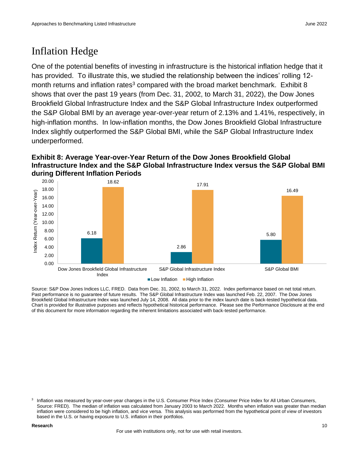### Inflation Hedge

One of the potential benefits of investing in infrastructure is the historical inflation hedge that it has provided. To illustrate this, we studied the relationship between the indices' rolling 12month returns and inflation rates<sup>3</sup> compared with the broad market benchmark. Exhibit 8 shows that over the past 19 years (from Dec. 31, 2002, to March 31, 2022), the Dow Jones Brookfield Global Infrastructure Index and the S&P Global Infrastructure Index outperformed the S&P Global BMI by an average year-over-year return of 2.13% and 1.41%, respectively, in high-inflation months. In low-inflation months, the Dow Jones Brookfield Global Infrastructure Index slightly outperformed the S&P Global BMI, while the S&P Global Infrastructure Index underperformed.

### **Exhibit 8: Average Year-over-Year Return of the Dow Jones Brookfield Global Infrastructure Index and the S&P Global Infrastructure Index versus the S&P Global BMI during Different Inflation Periods**



Source: S&P Dow Jones Indices LLC, FRED. Data from Dec. 31, 2002, to March 31, 2022. Index performance based on net total return. Past performance is no guarantee of future results. The S&P Global Infrastructure Index was launched Feb. 22, 2007. The Dow Jones Brookfield Global Infrastructure Index was launched July 14, 2008. All data prior to the index launch date is back-tested hypothetical data. Chart is provided for illustrative purposes and reflects hypothetical historical performance. Please see the Performance Disclosure at the end of this document for more information regarding the inherent limitations associated with back-tested performance.

<sup>3</sup> Inflation was measured by year-over-year changes in the U.S. Consumer Price Index (Consumer Price Index for All Urban Consumers, Source: FRED). The median of inflation was calculated from January 2003 to March 2022. Months when inflation was greater than median inflation were considered to be high inflation, and vice versa. This analysis was performed from the hypothetical point of view of investors based in the U.S. or having exposure to U.S. inflation in their portfolios.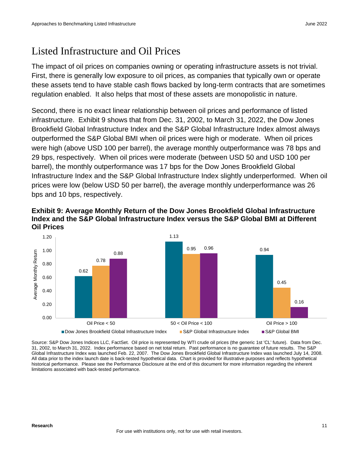### Listed Infrastructure and Oil Prices

The impact of oil prices on companies owning or operating infrastructure assets is not trivial. First, there is generally low exposure to oil prices, as companies that typically own or operate these assets tend to have stable cash flows backed by long-term contracts that are sometimes regulation enabled. It also helps that most of these assets are monopolistic in nature.

Second, there is no exact linear relationship between oil prices and performance of listed infrastructure. Exhibit 9 shows that from Dec. 31, 2002, to March 31, 2022, the Dow Jones Brookfield Global Infrastructure Index and the S&P Global Infrastructure Index almost always outperformed the S&P Global BMI when oil prices were high or moderate. When oil prices were high (above USD 100 per barrel), the average monthly outperformance was 78 bps and 29 bps, respectively. When oil prices were moderate (between USD 50 and USD 100 per barrel), the monthly outperformance was 17 bps for the Dow Jones Brookfield Global Infrastructure Index and the S&P Global Infrastructure Index slightly underperformed. When oil prices were low (below USD 50 per barrel), the average monthly underperformance was 26 bps and 10 bps, respectively.



**Exhibit 9: Average Monthly Return of the Dow Jones Brookfield Global Infrastructure Index and the S&P Global Infrastructure Index versus the S&P Global BMI at Different Oil Prices**

Source: S&P Dow Jones Indices LLC, FactSet. Oil price is represented by WTI crude oil prices (the generic 1st 'CL' future). Data from Dec. 31, 2002, to March 31, 2022. Index performance based on net total return. Past performance is no guarantee of future results. The S&P Global Infrastructure Index was launched Feb. 22, 2007. The Dow Jones Brookfield Global Infrastructure Index was launched July 14, 2008. All data prior to the index launch date is back-tested hypothetical data. Chart is provided for illustrative purposes and reflects hypothetical historical performance. Please see the Performance Disclosure at the end of this document for more information regarding the inherent limitations associated with back-tested performance.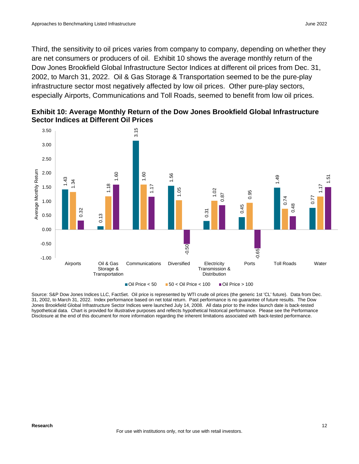Third, the sensitivity to oil prices varies from company to company, depending on whether they are net consumers or producers of oil. Exhibit 10 shows the average monthly return of the Dow Jones Brookfield Global Infrastructure Sector Indices at different oil prices from Dec. 31, 2002, to March 31, 2022. Oil & Gas Storage & Transportation seemed to be the pure-play infrastructure sector most negatively affected by low oil prices. Other pure-play sectors, especially Airports, Communications and Toll Roads, seemed to benefit from low oil prices.



**Exhibit 10: Average Monthly Return of the Dow Jones Brookfield Global Infrastructure Sector Indices at Different Oil Prices**

Source: S&P Dow Jones Indices LLC, FactSet. Oil price is represented by WTI crude oil prices (the generic 1st 'CL' future). Data from Dec. 31, 2002, to March 31, 2022. Index performance based on net total return. Past performance is no guarantee of future results. The Dow Jones Brookfield Global Infrastructure Sector Indices were launched July 14, 2008. All data prior to the index launch date is back-tested hypothetical data. Chart is provided for illustrative purposes and reflects hypothetical historical performance. Please see the Performance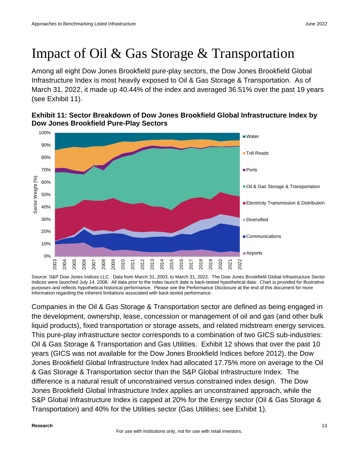## Impact of Oil & Gas Storage & Transportation

Among all eight Dow Jones Brookfield pure-play sectors, the Dow Jones Brookfield Global Infrastructure Index is most heavily exposed to Oil & Gas Storage & Transportation. As of March 31, 2022, it made up 40.44% of the index and averaged 36.51% over the past 19 years (see Exhibit 11).



### **Exhibit 11: Sector Breakdown of Dow Jones Brookfield Global Infrastructure Index by Dow Jones Brookfield Pure-Play Sectors**

Source: S&P Dow Jones Indices LLC. Data from March 31, 2003, to March 31, 2022. The Dow Jones Brookfield Global Infrastructure Sector Indices were launched July 14, 2008. All data prior to the index launch date is back-tested hypothetical data. Chart is provided for illustrative purposes and reflects hypothetical historical performance. Please see the Performance Disclosure at the end of this document for more information regarding the inherent limitations associated with back-tested performance.

Companies in the Oil & Gas Storage & Transportation sector are defined as being engaged in the development, ownership, lease, concession or management of oil and gas (and other bulk liquid products), fixed transportation or storage assets, and related midstream energy services. This pure-play infrastructure sector corresponds to a combination of two GICS sub-industries: Oil & Gas Storage & Transportation and Gas Utilities. Exhibit 12 shows that over the past 10 years (GICS was not available for the Dow Jones Brookfield Indices before 2012), the Dow Jones Brookfield Global Infrastructure Index had allocated 17.75% more on average to the Oil & Gas Storage & Transportation sector than the S&P Global Infrastructure Index. The difference is a natural result of unconstrained versus constrained index design. The Dow Jones Brookfield Global Infrastructure Index applies an unconstrained approach, while the S&P Global Infrastructure Index is capped at 20% for the Energy sector (Oil & Gas Storage & Transportation) and 40% for the Utilities sector (Gas Utilities; see Exhibit 1).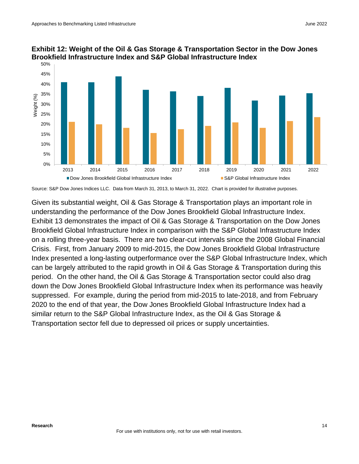

### **Exhibit 12: Weight of the Oil & Gas Storage & Transportation Sector in the Dow Jones Brookfield Infrastructure Index and S&P Global Infrastructure Index**

Source: S&P Dow Jones Indices LLC. Data from March 31, 2013, to March 31, 2022. Chart is provided for illustrative purposes.

Given its substantial weight, Oil & Gas Storage & Transportation plays an important role in understanding the performance of the Dow Jones Brookfield Global Infrastructure Index. Exhibit 13 demonstrates the impact of Oil & Gas Storage & Transportation on the Dow Jones Brookfield Global Infrastructure Index in comparison with the S&P Global Infrastructure Index on a rolling three-year basis. There are two clear-cut intervals since the 2008 Global Financial Crisis. First, from January 2009 to mid-2015, the Dow Jones Brookfield Global Infrastructure Index presented a long-lasting outperformance over the S&P Global Infrastructure Index, which can be largely attributed to the rapid growth in Oil & Gas Storage & Transportation during this period. On the other hand, the Oil & Gas Storage & Transportation sector could also drag down the Dow Jones Brookfield Global Infrastructure Index when its performance was heavily suppressed. For example, during the period from mid-2015 to late-2018, and from February 2020 to the end of that year, the Dow Jones Brookfield Global Infrastructure Index had a similar return to the S&P Global Infrastructure Index, as the Oil & Gas Storage & Transportation sector fell due to depressed oil prices or supply uncertainties.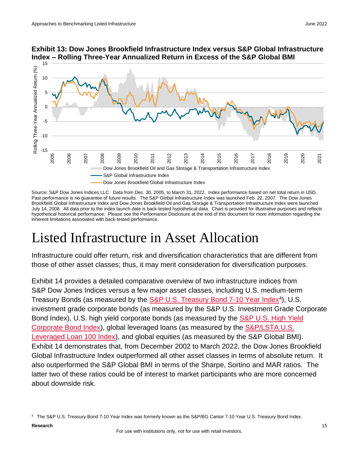

### **Exhibit 13: Dow Jones Brookfield Infrastructure Index versus S&P Global Infrastructure Index – Rolling Three-Year Annualized Return in Excess of the S&P Global BMI**

Source: S&P Dow Jones Indices LLC. Data from Dec. 30, 2005, to March 31, 2022. Index performance based on net total return in USD. Past performance is no guarantee of future results. The S&P Global Infrastructure Index was launched Feb. 22, 2007. The Dow Jones Brookfield Global Infrastructure Index and Dow Jones Brookfield Oil and Gas Storage & Transportation Infrastructure Index were launched July 14, 2008. All data prior to the index launch date is back-tested hypothetical data. Chart is provided for illustrative purposes and reflects hypothetical historical performance. Please see the Performance Disclosure at the end of this document for more information regarding the inherent limitations associated with back-tested performance.

## Listed Infrastructure in Asset Allocation

Infrastructure could offer return, risk and diversification characteristics that are different from those of other asset classes; thus, it may merit consideration for diversification purposes.

Exhibit 14 provides a detailed comparative overview of two infrastructure indices from S&P Dow Jones Indices versus a few major asset classes, including U.S. medium-term Treasury Bonds (as measured by the [S&P U.S. Treasury Bond 7-10 Year Index](http://spdji.com/indices/fixed-income/sp-us-treasury-bond-7-10-year-index)<sup>4</sup>), U.S. investment grade corporate bonds (as measured by the S&P U.S. Investment Grade Corporate Bond Index), U.S. high yield corporate bonds (as measured by the **S&P U.S. High Yield** [Corporate Bond Index\)](https://spdji.com/indices/fixed-income/sp-us-high-yield-corporate-bond-index), global leveraged loans (as measured by the [S&P/LSTA U.S.](http://spdji.com/indices/fixed-income/sp-lsta-us-leveraged-loan-100-index)  [Leveraged Loan 100 Index\)](http://spdji.com/indices/fixed-income/sp-lsta-us-leveraged-loan-100-index), and global equities (as measured by the S&P Global BMI). Exhibit 14 demonstrates that, from December 2002 to March 2022, the Dow Jones Brookfield Global Infrastructure Index outperformed all other asset classes in terms of absolute return. It also outperformed the S&P Global BMI in terms of the Sharpe, Sortino and MAR ratios. The latter two of these ratios could be of interest to market participants who are more concerned about downside risk.

<sup>4</sup> The S&P U.S. Treasury Bond 7-10 Year Index was formerly known as the S&P/BG Cantor 7-10 Year U.S. Treasury Bond Index.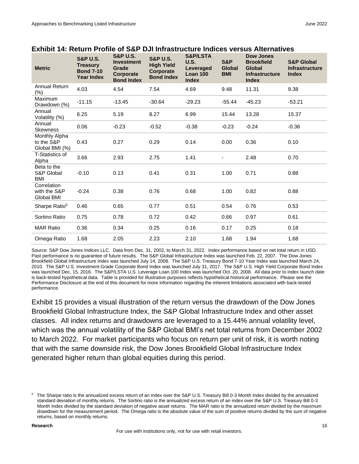| <b>Metric</b>                                 | <b>S&amp;P U.S.</b><br><b>Treasury</b><br><b>Bond 7-10</b><br><b>Year Index</b> | <b>S&amp;P U.S.</b><br><b>Investment</b><br>Grade<br>Corporate<br><b>Bond Index</b> | <b>S&amp;P U.S.</b><br><b>High Yield</b><br>Corporate<br><b>Bond Index</b> | <b>S&amp;P/LSTA</b><br>U.S.<br><b>Leveraged</b><br>Loan 100<br><b>Index</b> | <b>S&amp;P</b><br><b>Global</b><br><b>BMI</b> | <b>Dow Jones</b><br><b>Brookfield</b><br><b>Global</b><br><b>Infrastructure</b><br><b>Index</b> | <b>S&amp;P Global</b><br><b>Infrastructure</b><br><b>Index</b> |
|-----------------------------------------------|---------------------------------------------------------------------------------|-------------------------------------------------------------------------------------|----------------------------------------------------------------------------|-----------------------------------------------------------------------------|-----------------------------------------------|-------------------------------------------------------------------------------------------------|----------------------------------------------------------------|
| <b>Annual Return</b><br>(%)                   | 4.03                                                                            | 4.54                                                                                | 7.54                                                                       | 4.69                                                                        | 9.48                                          | 11.31                                                                                           | 9.38                                                           |
| <b>Maximum</b><br>Drawdown (%)                | $-11.15$                                                                        | $-13.45$                                                                            | $-30.64$                                                                   | $-29.23$                                                                    | $-55.44$                                      | $-45.23$                                                                                        | $-53.21$                                                       |
| Annual<br>Volatility (%)                      | 6.25                                                                            | 5.19                                                                                | 8.27                                                                       | 6.99                                                                        | 15.44                                         | 13.28                                                                                           | 15.37                                                          |
| Annual<br><b>Skewness</b>                     | 0.06                                                                            | $-0.23$                                                                             | $-0.52$                                                                    | $-0.38$                                                                     | $-0.23$                                       | $-0.24$                                                                                         | $-0.36$                                                        |
| Monthly Alpha<br>to the S&P<br>Global BMI (%) | 0.43                                                                            | 0.27                                                                                | 0.29                                                                       | 0.14                                                                        | 0.00                                          | 0.36                                                                                            | 0.10                                                           |
| T-Statistics of<br>Alpha                      | 3.66                                                                            | 2.93                                                                                | 2.75                                                                       | 1.41                                                                        |                                               | 2.48                                                                                            | 0.70                                                           |
| Beta to the<br>S&P Global<br>BMI              | $-0.10$                                                                         | 0.13                                                                                | 0.41                                                                       | 0.31                                                                        | 1.00                                          | 0.71                                                                                            | 0.88                                                           |
| Correlation<br>with the S&P<br>Global BMI     | $-0.24$                                                                         | 0.38                                                                                | 0.76                                                                       | 0.68                                                                        | 1.00                                          | 0.82                                                                                            | 0.88                                                           |
| Sharpe Ratio <sup>5</sup>                     | 0.46                                                                            | 0.65                                                                                | 0.77                                                                       | 0.51                                                                        | 0.54                                          | 0.76                                                                                            | 0.53                                                           |
| Sortino Ratio                                 | 0.75                                                                            | 0.78                                                                                | 0.72                                                                       | 0.42                                                                        | 0.66                                          | 0.97                                                                                            | 0.61                                                           |
| <b>MAR Ratio</b>                              | 0.36                                                                            | 0.34                                                                                | 0.25                                                                       | 0.16                                                                        | 0.17                                          | 0.25                                                                                            | 0.18                                                           |
| Omega Ratio                                   | 1.68                                                                            | 2.05                                                                                | 2.23                                                                       | 2.10                                                                        | 1.68                                          | 1.94                                                                                            | 1.68                                                           |

### **Exhibit 14: Return Profile of S&P DJI Infrastructure Indices versus Alternatives**

Source: S&P Dow Jones Indices LLC. Data from Dec. 31, 2002, to March 31, 2022. Index performance based on net total return in USD. Past performance is no guarantee of future results. The S&P Global Infrastructure Index was launched Feb. 22, 2007. The Dow Jones Brookfield Global Infrastructure Index was launched July 14, 2008. The S&P U.S. Treasury Bond 7-10 Year Index was launched March 24, 2010. The S&P U.S. Investment Grade Corporate Bond Index was launched July 31, 2017. The S&P U.S. High Yield Corporate Bond Index was launched Dec. 15, 2016. The S&P/LSTA U.S. Leverage Loan 100 Index was launched Oct. 20, 2008. All data prior to index launch date is back-tested hypothetical data. Table is provided for illustrative purposes reflects hypothetical historical performance. Please see the Performance Disclosure at the end of this document for more information regarding the inherent limitations associated with back-tested performance.

Exhibit 15 provides a visual illustration of the return versus the drawdown of the Dow Jones Brookfield Global Infrastructure Index, the S&P Global Infrastructure Index and other asset classes. All index returns and drawdowns are leveraged to a 15.44% annual volatility level, which was the annual volatility of the S&P Global BMI's net total returns from December 2002 to March 2022. For market participants who focus on return per unit of risk, it is worth noting that with the same downside risk, the Dow Jones Brookfield Global Infrastructure Index generated higher return than global equities during this period.

<sup>&</sup>lt;sup>5</sup> The Sharpe ratio is the annualized excess return of an index over the S&P U.S. Treasury Bill 0-3 Month Index divided by the annualized standard deviation of monthly returns. The Sortino ratio is the annualized excess return of an index over the S&P U.S. Treasury Bill 0-3 Month Index divided by the standard deviation of negative asset returns. The MAR ratio is the annualized return divided by the maximum drawdown for the measurement period. The Omega ratio is the absolute value of the sum of positive returns divided by the sum of negative returns, based on monthly returns.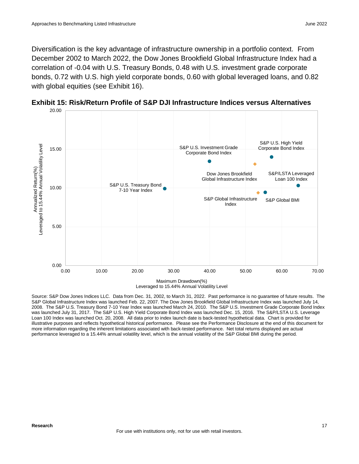Diversification is the key advantage of infrastructure ownership in a portfolio context. From December 2002 to March 2022, the Dow Jones Brookfield Global Infrastructure Index had a correlation of -0.04 with U.S. Treasury Bonds, 0.48 with U.S. investment grade corporate bonds, 0.72 with U.S. high yield corporate bonds, 0.60 with global leveraged loans, and 0.82 with global equities (see Exhibit 16).



**Exhibit 15: Risk/Return Profile of S&P DJI Infrastructure Indices versus Alternatives**

Leveraged to 15.44% Annual Volatility Level

Source: S&P Dow Jones Indices LLC. Data from Dec. 31, 2002, to March 31, 2022. Past performance is no guarantee of future results. The S&P Global Infrastructure Index was launched Feb. 22, 2007. The Dow Jones Brookfield Global Infrastructure Index was launched July 14, 2008. The S&P U.S. Treasury Bond 7-10 Year Index was launched March 24, 2010. The S&P U.S. Investment Grade Corporate Bond Index was launched July 31, 2017. The S&P U.S. High Yield Corporate Bond Index was launched Dec. 15, 2016. The S&P/LSTA U.S. Leverage Loan 100 Index was launched Oct. 20, 2008. All data prior to index launch date is back-tested hypothetical data. Chart is provided for illustrative purposes and reflects hypothetical historical performance. Please see the Performance Disclosure at the end of this document for more information regarding the inherent limitations associated with back-tested performance. Net total returns displayed are actual performance leveraged to a 15.44% annual volatility level, which is the annual volatility of the S&P Global BMI during the period.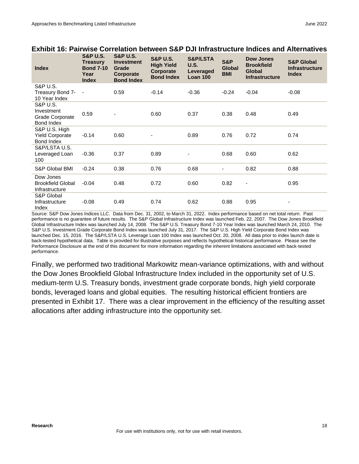| <b>Index</b>                               | <b>S&amp;P U.S.</b><br><b>Treasury</b><br><b>Bond 7-10</b><br>Year<br><b>Index</b> | <b>S&amp;P U.S.</b><br><b>Investment</b><br>Grade<br>Corporate<br><b>Bond Index</b> | <b>S&amp;P U.S.</b><br><b>High Yield</b><br>Corporate<br><b>Bond Index</b> | <b>S&amp;P/LSTA</b><br><b>U.S.</b><br>Leveraged<br>Loan 100 | <b>S&amp;P</b><br><b>Global</b><br><b>BMI</b> | <b>Dow Jones</b><br><b>Brookfield</b><br><b>Global</b><br><b>Infrastructure</b> | <b>S&amp;P Global</b><br><b>Infrastructure</b><br><b>Index</b> |
|--------------------------------------------|------------------------------------------------------------------------------------|-------------------------------------------------------------------------------------|----------------------------------------------------------------------------|-------------------------------------------------------------|-----------------------------------------------|---------------------------------------------------------------------------------|----------------------------------------------------------------|
| <b>S&amp;P U.S.</b>                        |                                                                                    |                                                                                     |                                                                            |                                                             | $-0.24$                                       |                                                                                 | $-0.08$                                                        |
| Treasury Bond 7-<br>10 Year Index          | $\sim$ $-$                                                                         | 0.59                                                                                | $-0.14$                                                                    | $-0.36$                                                     |                                               | $-0.04$                                                                         |                                                                |
| <b>S&amp;P U.S.</b>                        |                                                                                    |                                                                                     |                                                                            |                                                             |                                               |                                                                                 |                                                                |
| Investment<br>Grade Corporate              | 0.59                                                                               |                                                                                     | 0.60                                                                       | 0.37                                                        | 0.38                                          | 0.48                                                                            | 0.49                                                           |
| Bond Index                                 |                                                                                    |                                                                                     |                                                                            |                                                             |                                               |                                                                                 |                                                                |
| S&P U.S. High                              |                                                                                    |                                                                                     |                                                                            |                                                             |                                               |                                                                                 |                                                                |
| <b>Yield Corporate</b><br>Bond Index       | $-0.14$                                                                            | 0.60                                                                                |                                                                            | 0.89                                                        | 0.76                                          | 0.72                                                                            | 0.74                                                           |
| S&P/LSTA U.S.                              |                                                                                    |                                                                                     |                                                                            |                                                             |                                               |                                                                                 |                                                                |
| Leveraged Loan                             | $-0.36$                                                                            | 0.37                                                                                | 0.89                                                                       |                                                             | 0.68                                          | 0.60                                                                            | 0.62                                                           |
| 100                                        |                                                                                    |                                                                                     |                                                                            |                                                             |                                               |                                                                                 |                                                                |
| S&P Global BMI                             | $-0.24$                                                                            | 0.38                                                                                | 0.76                                                                       | 0.68                                                        | ٠                                             | 0.82                                                                            | 0.88                                                           |
| Dow Jones                                  |                                                                                    |                                                                                     |                                                                            |                                                             |                                               |                                                                                 |                                                                |
| <b>Brookfield Global</b><br>Infrastructure | $-0.04$                                                                            | 0.48                                                                                | 0.72                                                                       | 0.60                                                        | 0.82                                          | $\overline{\phantom{a}}$                                                        | 0.95                                                           |
| S&P Global                                 |                                                                                    |                                                                                     |                                                                            |                                                             |                                               |                                                                                 |                                                                |
| Infrastructure                             | $-0.08$                                                                            | 0.49                                                                                | 0.74                                                                       | 0.62                                                        | 0.88                                          | 0.95                                                                            |                                                                |
| Index                                      |                                                                                    |                                                                                     |                                                                            |                                                             |                                               |                                                                                 |                                                                |

### **Exhibit 16: Pairwise Correlation between S&P DJI Infrastructure Indices and Alternatives**

Source: S&P Dow Jones Indices LLC. Data from Dec. 31, 2002, to March 31, 2022. Index performance based on net total return. Past performance is no guarantee of future results. The S&P Global Infrastructure Index was launched Feb. 22, 2007. The Dow Jones Brookfield Global Infrastructure Index was launched July 14, 2008. The S&P U.S. Treasury Bond 7-10 Year Index was launched March 24, 2010. The S&P U.S. Investment Grade Corporate Bond Index was launched July 31, 2017. The S&P U.S. High Yield Corporate Bond Index was launched Dec. 15, 2016. The S&P/LSTA U.S. Leverage Loan 100 Index was launched Oct. 20, 2008. All data prior to index launch date is back-tested hypothetical data. Table is provided for illustrative purposes and reflects hypothetical historical performance. Please see the Performance Disclosure at the end of this document for more information regarding the inherent limitations associated with back-tested performance.

Finally, we performed two traditional Markowitz mean-variance optimizations, with and without the Dow Jones Brookfield Global Infrastructure Index included in the opportunity set of U.S. medium-term U.S. Treasury bonds, investment grade corporate bonds, high yield corporate bonds, leveraged loans and global equities. The resulting historical efficient frontiers are presented in Exhibit 17. There was a clear improvement in the efficiency of the resulting asset allocations after adding infrastructure into the opportunity set.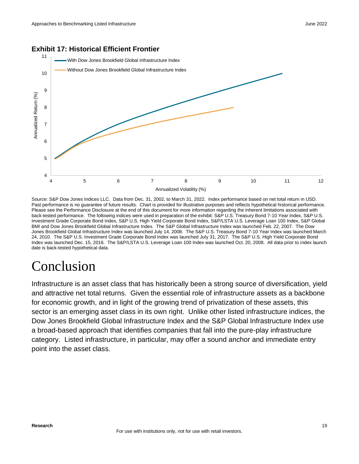### **Exhibit 17: Historical Efficient Frontier**



Source: S&P Dow Jones Indices LLC. Data from Dec. 31, 2002, to March 31, 2022. Index performance based on net total return in USD. Past performance is no guarantee of future results. Chart is provided for illustrative purposes and reflects hypothetical historical performance. Please see the Performance Disclosure at the end of this document for more information regarding the inherent limitations associated with back-tested performance. The following indices were used in preparation of the exhibit: S&P U.S. Treasury Bond 7-10 Year Index, S&P U.S. Investment Grade Corporate Bond Index, S&P U.S. High Yield Corporate Bond Index, S&P/LSTA U.S. Leverage Loan 100 Index, S&P Global BMI and Dow Jones Brookfield Global Infrastructure Index. The S&P Global Infrastructure Index was launched Feb. 22, 2007. The Dow Jones Brookfield Global Infrastructure Index was launched July 14, 2008. The S&P U.S. Treasury Bond 7-10 Year Index was launched March 24, 2010. The S&P U.S. Investment Grade Corporate Bond Index was launched July 31, 2017. The S&P U.S. High Yield Corporate Bond Index was launched Dec. 15, 2016. The S&P/LSTA U.S. Leverage Loan 100 Index was launched Oct. 20, 2008. All data prior to index launch date is back-tested hypothetical data.

## Conclusion

Infrastructure is an asset class that has historically been a strong source of diversification, yield and attractive net total returns. Given the essential role of infrastructure assets as a backbone for economic growth, and in light of the growing trend of privatization of these assets, this sector is an emerging asset class in its own right. Unlike other listed infrastructure indices, the Dow Jones Brookfield Global Infrastructure Index and the S&P Global Infrastructure Index use a broad-based approach that identifies companies that fall into the pure-play infrastructure category. Listed infrastructure, in particular, may offer a sound anchor and immediate entry point into the asset class.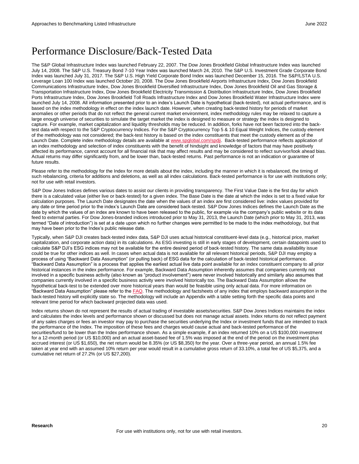### Performance Disclosure/Back-Tested Data

The S&P Global Infrastructure Index was launched February 22, 2007. The Dow Jones Brookfield Global Infrastructure Index was launched July 14, 2008. The S&P U.S. Treasury Bond 7-10 Year Index was launched March 24, 2010. The S&P U.S. Investment Grade Corporate Bond Index was launched July 31, 2017. The S&P U.S. High Yield Corporate Bond Index was launched December 15, 2016. The S&P/LSTA U.S. Leverage Loan 100 Index was launched October 20, 2008. The Dow Jones Brookfield Airports Infrastructure Index, Dow Jones Brookfield Communications Infrastructure Index, Dow Jones Brookfield Diversified Infrastructure Index, Dow Jones Brookfield Oil and Gas Storage & Transportation Infrastructure Index, Dow Jones Brookfield Electricity Transmission & Distribution Infrastructure Index, Dow Jones Brookfield Ports Infrastructure Index, Dow Jones Brookfield Toll Roads Infrastructure Index and Dow Jones Brookfield Water Infrastructure Index were launched July 14, 2008. All information presented prior to an index's Launch Date is hypothetical (back-tested), not actual performance, and is based on the index methodology in effect on the index launch date. However, when creating back-tested history for periods of market anomalies or other periods that do not reflect the general current market environment, index methodology rules may be relaxed to capture a large enough universe of securities to simulate the target market the index is designed to measure or strategy the index is designed to capture. For example, market capitalization and liquidity thresholds may be reduced. In addition, forks have not been factored into the backtest data with respect to the S&P Cryptocurrency Indices. For the S&P Cryptocurrency Top 5 & 10 Equal Weight Indices, the custody element of the methodology was not considered; the back-test history is based on the index constituents that meet the custody element as of the Launch Date. Complete index methodology details are available a[t www.spglobal.com/spdji.](http://www.spglobal.com/spdji/en/?utm_source=pdf_research) Back-tested performance reflects application of an index methodology and selection of index constituents with the benefit of hindsight and knowledge of factors that may have positively affected its performance, cannot account for all financial risk that may affect results and may be considered to reflect survivor/look ahead bias. Actual returns may differ significantly from, and be lower than, back-tested returns. Past performance is not an indication or guarantee of future results.

Please refer to the methodology for the Index for more details about the index, including the manner in which it is rebalanced, the timing of such rebalancing, criteria for additions and deletions, as well as all index calculations. Back-tested performance is for use with institutions only; not for use with retail investors.

S&P Dow Jones Indices defines various dates to assist our clients in providing transparency. The First Value Date is the first day for which there is a calculated value (either live or back-tested) for a given index. The Base Date is the date at which the index is set to a fixed value for calculation purposes. The Launch Date designates the date when the values of an index are first considered live: index values provided for any date or time period prior to the index's Launch Date are considered back-tested. S&P Dow Jones Indices defines the Launch Date as the date by which the values of an index are known to have been released to the public, for example via the company's public website or its data feed to external parties. For Dow Jones-branded indices introduced prior to May 31, 2013, the Launch Date (which prior to May 31, 2013, was termed "Date of introduction") is set at a date upon which no further changes were permitted to be made to the index methodology, but that may have been prior to the Index's public release date.

Typically, when S&P DJI creates back-tested index data, S&P DJI uses actual historical constituent-level data (e.g., historical price, market capitalization, and corporate action data) in its calculations. As ESG investing is still in early stages of development, certain datapoints used to calculate S&P DJI's ESG indices may not be available for the entire desired period of back-tested history. The same data availability issue could be true for other indices as well. In cases when actual data is not available for all relevant historical periods, S&P DJI may employ a process of using "Backward Data Assumption" (or pulling back) of ESG data for the calculation of back-tested historical performance. "Backward Data Assumption" is a process that applies the earliest actual live data point available for an index constituent company to all prior historical instances in the index performance. For example, Backward Data Assumption inherently assumes that companies currently not involved in a specific business activity (also known as "product involvement") were never involved historically and similarly also assumes that companies currently involved in a specific business activity were involved historically too. The Backward Data Assumption allows the hypothetical back-test to be extended over more historical years than would be feasible using only actual data. For more information on "Backward Data Assumption" please refer to th[e FAQ.](https://www.spglobal.com/spdji/en/education/article/faq-esg-back-testing-backward-data-assumption-overview/?utm_source=pdf_research) The methodology and factsheets of any index that employs backward assumption in the back-tested history will explicitly state so. The methodology will include an Appendix with a table setting forth the specific data points and relevant time period for which backward projected data was used.

Index returns shown do not represent the results of actual trading of investable assets/securities. S&P Dow Jones Indices maintains the index and calculates the index levels and performance shown or discussed but does not manage actual assets. Index returns do not reflect payment of any sales charges or fees an investor may pay to purchase the securities underlying the Index or investment funds that are intended to track the performance of the Index. The imposition of these fees and charges would cause actual and back-tested performance of the securities/fund to be lower than the Index performance shown. As a simple example, if an index returned 10% on a US \$100,000 investment for a 12-month period (or US \$10,000) and an actual asset-based fee of 1.5% was imposed at the end of the period on the investment plus accrued interest (or US \$1,650), the net return would be 8.35% (or US \$8,350) for the year. Over a three-year period, an annual 1.5% fee taken at year end with an assumed 10% return per year would result in a cumulative gross return of 33.10%, a total fee of US \$5,375, and a cumulative net return of 27.2% (or US \$27,200).